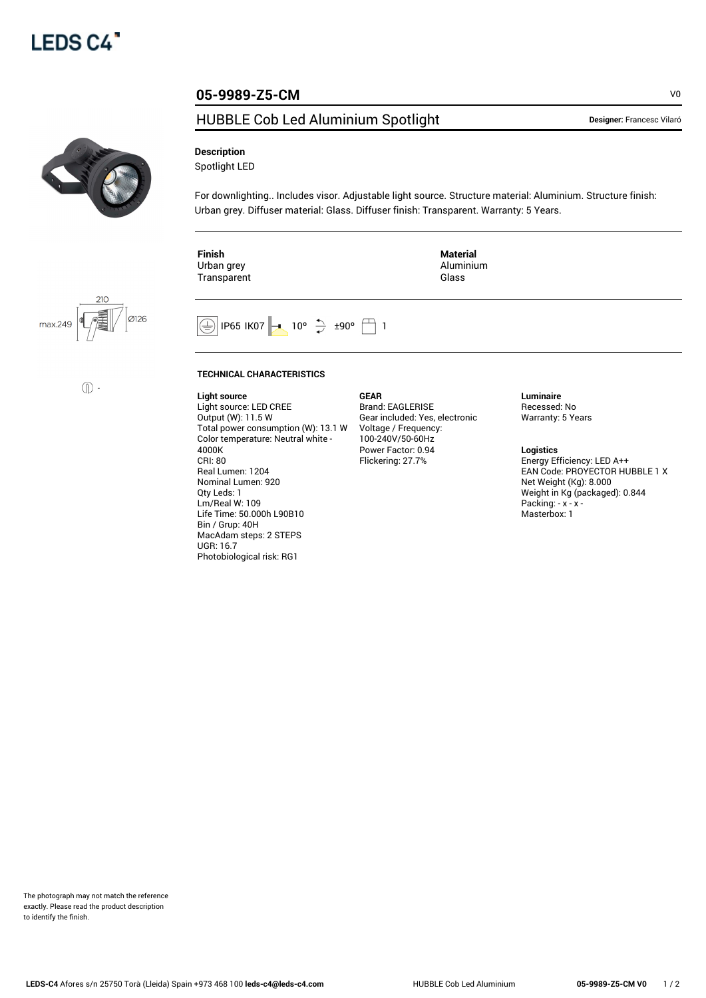

## HUBBLE Cob Led Aluminium Spotlight **Designer: Francesc Vilaró**





 $\circled{\mathbb{D}}$  -

**Description**

Spotlight LED

For downlighting.. Includes visor. Adjustable light source. Structure material: Aluminium. Structure finish: Urban grey. Diffuser material: Glass. Diffuser finish: Transparent. Warranty: 5 Years.

**Finish** Urban grey Transparent **Material** Aluminium Glass

 $\circled{+}$  IP65 IK07  $\rightarrow$  10°  $\uparrow$  ±90°  $\uparrow$  1

## **TECHNICAL CHARACTERISTICS**

**Light source** Light source: LED CREE Output (W): 11.5 W Total power consumption (W): 13.1 W Color temperature: Neutral white - 4000K CRI: 80 Real Lumen: 1204 Nominal Lumen: 920 Qty Leds: 1 Lm/Real W: 109 Life Time: 50.000h L90B10 Bin / Grup: 40H MacAdam steps: 2 STEPS UGR: 16.7 Photobiological risk: RG1

**GEAR** Brand: EAGLERISE Gear included: Yes, electronic Voltage / Frequency: 100-240V/50-60Hz Power Factor: 0.94 Flickering: 27.7%

**Luminaire** Recessed: No Warranty: 5 Years

**Logistics**

Energy Efficiency: LED A++ EAN Code: PROYECTOR HUBBLE 1 X Net Weight (Kg): 8.000 Weight in Kg (packaged): 0.844 Packing: - x - x -Masterbox: 1

**05-9989-Z5-CM** V0

The photograph may not match the reference exactly. Please read the product description to identify the finish.